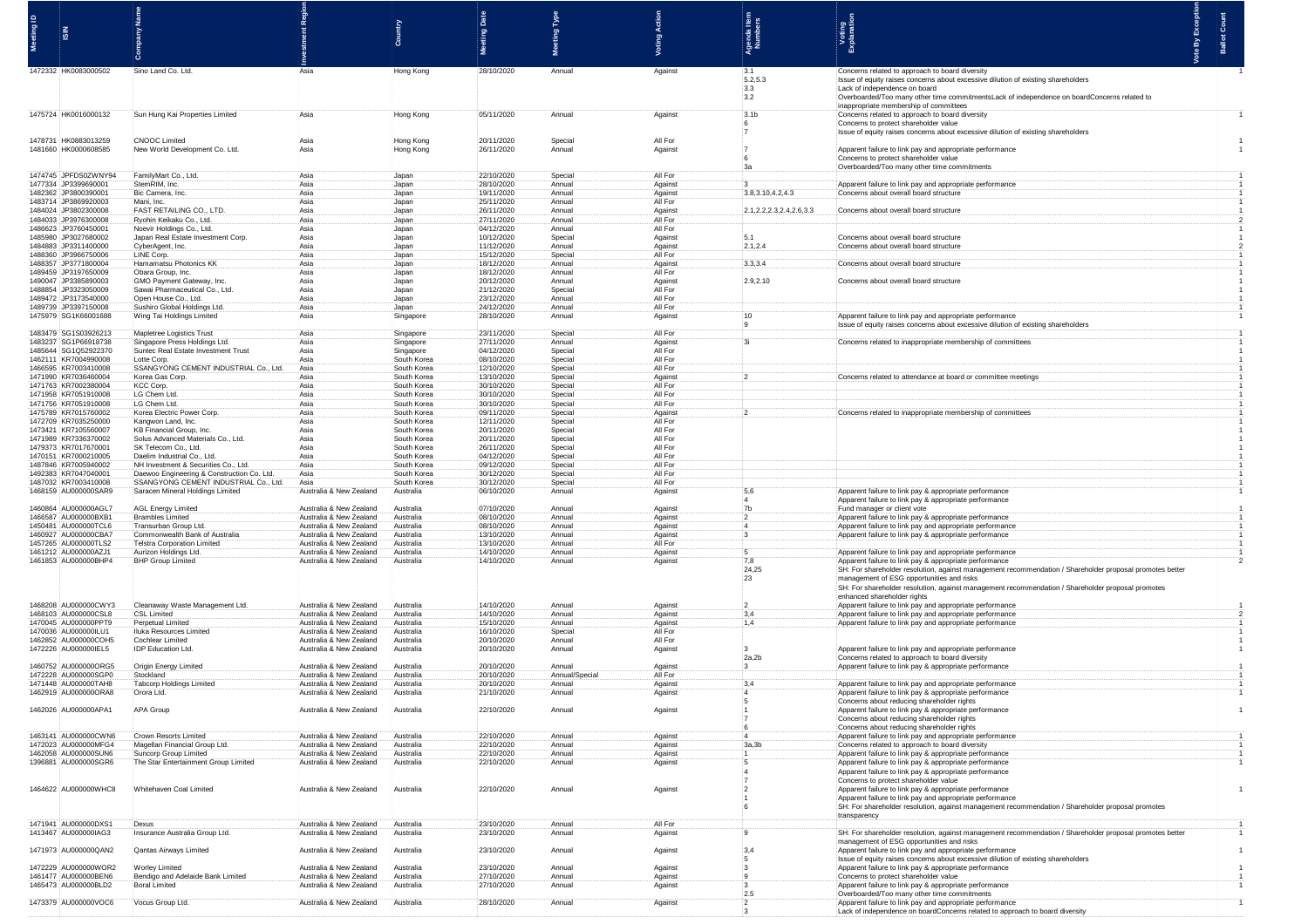|                                               |                                                                                     |                                                    |                            | ã<br><b>Meeting</b>      | ting Type           |                     | Agenda Item<br>Numbers             | Voting<br>Explanation                                                                                                                                                                                                                                                                                           | Ballot |
|-----------------------------------------------|-------------------------------------------------------------------------------------|----------------------------------------------------|----------------------------|--------------------------|---------------------|---------------------|------------------------------------|-----------------------------------------------------------------------------------------------------------------------------------------------------------------------------------------------------------------------------------------------------------------------------------------------------------------|--------|
| 1472332 HK0083000502                          | Sino Land Co. Ltd.                                                                  |                                                    | Hong Kong                  | 28/10/2020               | Annual              | Against             | :3.1<br>.5.2.5.3<br>3.3<br>3.2     | Concerns related to approach to board diversity<br>Issue of equity raises concerns about excessive dilution of existing shareholders<br>Lack of independence on board<br>:Overboarded/Too many other time commitmentsLack of independence on boardConcerns related to<br>inappropriate membership of committees |        |
| 1475724 HK0016000132                          | Sun Hung Kai Properties Limited                                                     |                                                    | Hong Kong                  | 05/11/2020               | Annual              | Against             | 3.1 <sub>b</sub><br>-6             | Concerns related to approach to board diversity<br>:Concerns to protect shareholder value<br>Issue of equity raises concerns about excessive dilution of existing shareholder                                                                                                                                   |        |
| 1478731 HK0883013259<br>1481660 HK0000608585  | <b>CNOOC</b> Limited<br>New World Development Co. Ltc                               | Asia<br>Asia                                       | Hong Kong<br>Hong Kong     | 20/11/2020<br>26/11/2020 | Special<br>Annual   | All For<br>Against  |                                    | Apparent failure to link pay and appropriate performance<br>Concerns to protect shareholder value<br>:Overboarded/Too many other time commitmen                                                                                                                                                                 |        |
| 1474745 :JPFDS0ZWNY94<br>1477334 JP3399690001 | FamilyMart Co., Ltd.<br>StemRIM, Inc.                                               | Asia<br>Asia                                       | Japan<br>Japan             | 22/10/2020<br>28/10/2020 | Special<br>Annual   | All For<br>Against  |                                    |                                                                                                                                                                                                                                                                                                                 |        |
| 1482362 JP3800390001                          | Bic Camera, Inc.                                                                    | Asia                                               | Japan                      | 19/11/2020               | Annual              | Against             | 3.8,3.10,4.2,4.3                   | Apparent failure to link pay and appropriate perfor<br>Concerns about overall board structure                                                                                                                                                                                                                   |        |
| 1483714 JP3869920003                          | Mani, Inc.<br><b>FAST RETAILING CO., LTD.</b>                                       | Asia                                               | Japan                      | 25/11/2020               | Annual              | All For             |                                    |                                                                                                                                                                                                                                                                                                                 |        |
| 1484024 JP3802300008<br>1484033 JP397630000   | Ryohin Keikaku Co., Ltd.                                                            | Asia<br>Asia                                       | Japan<br>Japan             | 26/11/2020<br>27/11/2020 | Annual<br>Annual    | Against<br>All For  | 12.1, 2.2, 2.3, 2.4, 2.6, 3.3      | : Concerns about overall board structur                                                                                                                                                                                                                                                                         |        |
| 1486623 JP3760450001                          | Noevir Holdings Co., Ltd.                                                           | Asia                                               | Japan                      | 04/12/2020               | Annual              | All For             |                                    |                                                                                                                                                                                                                                                                                                                 |        |
| 1485980 JP302768000<br>1484883 JP331140000    | Japan Real Estate Investment Co<br>CyberAgent, Inc.                                 | Asia<br>Asia                                       | Japan<br>Japan             | 10/12/2020<br>11/12/2020 | Special<br>Annual   | Against<br>Agains   | 2.1,2.4                            | Concerns about overall board structur<br>Concerns about overall board structu                                                                                                                                                                                                                                   |        |
| 1488360 JP396675000                           | LINE Corp.                                                                          | Asia                                               | Japan                      | 15/12/2020               | Special             | All For             |                                    |                                                                                                                                                                                                                                                                                                                 |        |
| 1488357 JP3771800004<br>489459 JP3197650009   | <b>Hamamatsu Photonics KK</b><br>:Obara Group, Inc.                                 | Asia<br>Asia                                       | Japan<br>Japan             | 18/12/2020<br>18/12/2020 | Annual<br>Annual    | Against<br>All For  | 3.3.3.4                            | Concerns about overall board structure                                                                                                                                                                                                                                                                          |        |
| 1490047 JP3385890003                          | GMO Payment Gateway, Inc.                                                           | Asia                                               | Japan                      | 20/12/2020               | Annual              | Against             | 2.9,2.10                           | Concerns about overall board structure                                                                                                                                                                                                                                                                          |        |
| 1488854 JP3323050009                          | Sawai Pharmaceutical Co., Ltd.                                                      | Asia                                               | Japan                      | 21/12/2020               | Special             | All For             |                                    |                                                                                                                                                                                                                                                                                                                 |        |
| 1489472 JP3173540000<br>1489739 JP3397150008  | Open House Co., Ltd.<br>Sushiro Global Holdings Ltd.                                | Asia<br>Asia                                       | Japan<br>Japan             | 23/12/2020<br>24/12/2020 | Annual<br>Annual    | All For<br>All For  |                                    |                                                                                                                                                                                                                                                                                                                 |        |
| 1475979 SG1K66001688                          | Wing Tai Holdings Limited                                                           | Asia                                               | Singapore                  | 28/10/2020               | Annual              | Against             |                                    | Apparent failure to link pay and appropriate performance                                                                                                                                                                                                                                                        |        |
| 1483479 SG1S03926213                          | Mapletree Logistics Trust                                                           | Asia                                               | Singapore                  | 23/11/2020               | Special             | All For             |                                    | Issue of equity raises concerns about excessive dilution of existing shareh                                                                                                                                                                                                                                     |        |
| 1483237 SG1P66918738                          | Singapore Press Holdings Ltd.                                                       | Asia                                               | Singapore                  | 27/11/2020               | Annual              | Against             |                                    | Concerns related to inappropriate membership of committee                                                                                                                                                                                                                                                       |        |
| 1485644 SG1Q52922370<br>1462111 KR7004990008  | Suntec Real Estate Investment Trust<br>:Lotte Corp.                                 | Asia<br>Asia                                       | Singapore<br>South Korea   | 04/12/2020<br>08/10/2020 | Special<br>Special  | All For<br>All For  |                                    |                                                                                                                                                                                                                                                                                                                 |        |
| 1466595 KR7003410008                          | SSANGYONG CEMENT INDUSTRIAL Co.                                                     | Asia                                               | South Korea                | 12/10/2020               | Special             | All For             |                                    |                                                                                                                                                                                                                                                                                                                 |        |
| 1471990 KR703646000<br>1471763 KR700238000    | Korea Gas Cor                                                                       | Asia<br>Asia                                       | South Korea                | 13/10/2020<br>30/10/2020 | Special             | Against<br>All For  |                                    | Concerns related to attendance at board or committee meet                                                                                                                                                                                                                                                       |        |
| 1471958 KR705191000                           | KCC Corp.<br>LG Chem Ltd.                                                           | Asia                                               | South Korea<br>South Korea | 30/10/2020               | Special<br>Special  | All For             |                                    |                                                                                                                                                                                                                                                                                                                 |        |
| 1471756 KR705191000                           | LG Chem Ltd.                                                                        | Asia                                               | South Korea                | 30/10/2020               | Special             | All For             |                                    |                                                                                                                                                                                                                                                                                                                 |        |
| 1475789 KR7015760002<br>472709 KR7035250000   | Korea Electric Power Corp<br>Kangwon Land, Inc.                                     | Asia<br>Asia                                       | South Korea<br>South Korea | 09/11/2020<br>12/11/2020 | Special<br>Special  | Against<br>:All For |                                    | Concerns related to inappropriate membership of commit                                                                                                                                                                                                                                                          |        |
| 1473421 KR710556000                           | KB Financial Group, Inc.                                                            | Asia                                               | South Korea                | 20/11/2020               | Special             | All For             |                                    |                                                                                                                                                                                                                                                                                                                 |        |
| 1471989 KR7336370002<br>1479373 KR701767000   | Solus Advanced Materials Co., Ltd<br>:SK Telecom Co., Ltd.                          | Asia<br>Asia                                       | South Korea<br>South Korea | 20/11/2020<br>26/11/2020 | Special<br>:Special | All For<br>:All For |                                    |                                                                                                                                                                                                                                                                                                                 |        |
| 1470151 KR700021000                           | Daelim Industrial Co., Ltd                                                          | Asia                                               | South Korea                | 04/12/2020               | Special             | All For             |                                    |                                                                                                                                                                                                                                                                                                                 |        |
| 1487846 KR700594000<br>1492383 KR7047040001   | NH Investment & Securities Co., Ltd.                                                | Asia<br>Asia                                       | South Korea<br>South Korea | 09/12/2020<br>30/12/2020 | Special<br>Special  | All For<br>All For  |                                    |                                                                                                                                                                                                                                                                                                                 |        |
| 1487032 KR7003410008                          | Daewoo Engineering & Construction Co. Ltd.<br>SSANGYONG CEMENT INDUSTRIAL Co., Ltd. | Asia                                               | South Korea                | 30/12/2020               | Special             | All For             |                                    |                                                                                                                                                                                                                                                                                                                 |        |
| 1468159 AU000000SAR9                          | Saracen Mineral Holdings Limited                                                    | Australia & New Zealand                            | Australia                  | 06/10/2020               | Annual              | Against             | 5,6                                | Apparent failure to link pay & appropriate performance                                                                                                                                                                                                                                                          |        |
| 1460864 AU000000AGL7                          | AGL Energy Limited                                                                  | Australia & New Zealand                            | Australia                  | 07/10/2020               | Annual              | Against             | 7 <sub>b</sub>                     | Apparent failure to link pay & appropriate performance<br>Fund manager or client vote                                                                                                                                                                                                                           |        |
| 1466587 AU000000BXB1                          | <b>Brambles Limited</b>                                                             | Australia & New Zealand                            | Australia                  | 08/10/2020               | Annual              | Against             |                                    | Apparent failure to link pay & appropriate performance                                                                                                                                                                                                                                                          |        |
| 1450481 AU000000TCL6<br>1460927 AU000000CBA7  | Transurban Group Ltd.<br>Commonwealth Bank of Australia                             | Australia & New Zealand<br>Australia & New Zealand | Australia<br>Australia     | 08/10/2020<br>13/10/2020 | Annua<br>Annual     | Against<br>Against  | 14                                 | Apparent failure to link pay and appropriate performance<br>Apparent failure to link pay & appropriate performance                                                                                                                                                                                              |        |
| 1457265 AU000000TLS2                          | <b>Telstra Corporation Limited</b>                                                  | Australia & New Zealand                            | Australia                  | 13/10/2020               | Annua               | All For             |                                    |                                                                                                                                                                                                                                                                                                                 |        |
| 1461212 AU000000AZJ1<br>1461853 AU000000BHP4  | Aurizon Holdings Ltd.<br><b>BHP Group Limited</b>                                   | Australia & New Zealand<br>Australia & New Zealand | Australia<br>Australia     | 14/10/2020<br>14/10/2020 | Annual<br>Annual    | Against<br>Against  | 7.8                                | Apparent failure to link pay and appropriate performance<br>Apparent failure to link pay & appropriate performance                                                                                                                                                                                              |        |
| 1468208 AU000000CWY3                          | Cleanaway Waste Management Ltd                                                      | Australia & New Zealand                            | Australia                  | 14/10/2020               | Annual              | Against             | 24,25<br>:23                       | SH: For shareholder resolution, against management recommendation / Shareholder proposal<br>management of ESG opportunities and risks<br>SH: For shareholder resolution, against management recommendation<br>enhanced shareholder rights<br>Apparent failure to link pay and appropriate performance           |        |
| 1468103 AU000000CSL8                          | CSL Limited                                                                         | Australia & New Zealand                            | Australia                  | 14/10/2020               | Annual              | Against             | :3,4                               | Apparent failure to link pay and appropriate performance                                                                                                                                                                                                                                                        |        |
| 1470045 AU000000PPT9<br>1470036 AU000000ILU1  | Perpetual Limited<br>Iluka Resources Limited                                        | Australia & New Zealand<br>Australia & New Zealand | Australia<br>Australia     | 15/10/2020<br>16/10/2020 | Annual<br>Special   | Against<br>All For  | 1,4                                | Apparent failure to link pay and appropriate performand                                                                                                                                                                                                                                                         |        |
| 1462852 AU000000COH5                          | Cochlear Limited                                                                    | Australia & New Zealand                            | Australia                  | 20/10/2020               | Annual              | All For             |                                    |                                                                                                                                                                                                                                                                                                                 |        |
| 1472226 AU000000IEL5                          | IDP Education Ltd.                                                                  | Australia & New Zealand                            | Australia                  | 20/10/2020               | Annual              | Against             | $\ddot{\mathbf{3}}$<br>2a,2b       | Apparent failure to link pay and appropriate performan                                                                                                                                                                                                                                                          |        |
| 1460752 AU000000ORG5                          | Origin Energy Limited                                                               | Australia & New Zealand                            | Australia                  | 20/10/2020               | Annual              | Against             | $\cdot$ 3                          | Concerns related to approach to board diversity<br>Apparent failure to link pay & appropriate performance                                                                                                                                                                                                       |        |
| 1472228 AU000000SGP0<br>1471448 AU000000TAH8  | Stockland                                                                           | Australia & New Zealand                            | Australia                  | 20/10/2020               | Annual/Spe          | All For             | $-3.4$                             |                                                                                                                                                                                                                                                                                                                 |        |
| 1462919 AU000000ORA8                          | Tabcorp Holdings Limited<br>Orora Ltd.                                              | Australia & New Zealand<br>Australia & New Zealand | Australia<br>Australia     | 20/10/2020<br>21/10/2020 | Annual<br>Annual    | Against<br>Against  |                                    | Apparent failure to link pay and appropriate performand<br>Apparent failure to link pay & appropriate performance                                                                                                                                                                                               |        |
| 1462026 AU000000APA1                          | <b>APA Group</b>                                                                    | Australia & New Zealand                            | Australia                  | 22/10/2020               | Annual              | Against             |                                    | Concerns about reducing shareholder rights<br>Apparent failure to link pay & appropriate performance<br>Concerns about reducing shareholder rights<br>Concerns about reducing shareholder rights                                                                                                                |        |
| 1463141 AU000000CWN6<br>1472023 AU000000MFG4  | Crown Resorts Limited<br>Magellan Financial Group Ltd.                              | Australia & New Zealand<br>Australia & New Zealand | Australia<br>Australia     | 22/10/2020<br>22/10/2020 | Annual<br>Annual    | Against<br>Against  | 3a, 3b                             | Apparent failure to link pay and appropriate performance<br>Concerns related to approach to board diversity                                                                                                                                                                                                     |        |
| 1462058 AU000000SUN6                          | Suncorp Group Limited                                                               | Australia & New Zealand                            | Australia                  | 22/10/2020               | Annual              | Against             |                                    | Apparent failure to link pay & appropriate performance                                                                                                                                                                                                                                                          |        |
| 1396881 AU000000SGR6<br>1464622 AU000000WHC8  | The Star Entertainment Group Limited<br>Whitehaven Coal Limited                     | Australia & New Zealand<br>Australia & New Zealand | Australia<br>Australia     | 22/10/2020<br>22/10/2020 | Annual<br>Annual    | Against<br>Against  | 55<br>44<br>$\cdot$ 2              | Apparent failure to link pay & appropriate performance<br>Apparent failure to link pay & appropriate performance<br>Concerns to protect shareholder value<br>Apparent failure to link pay & appropriate performance                                                                                             |        |
| 1471941 AU000000DXS1                          | Dexus                                                                               | Australia & New Zealand                            | Australia                  | 23/10/2020               | Annual              | All For             | $\ddot{\mathbf{1}}$                | Apparent failure to link pay and appropriate performance<br>SH: For shareholder resolution, against management recommendation / Shareholder proposal promotes<br>transparency                                                                                                                                   |        |
| 1413467 AU000000IAG3                          | Insurance Australia Group Ltd.                                                      | Australia & New Zealand                            | Australia                  | 23/10/2020               | Annual              | Against             |                                    | SH: For shareholder resolution, against management recommendation / Shareholder proposal promotes better                                                                                                                                                                                                        |        |
| 1471973 AU000000QAN2                          | Qantas Airways Limited                                                              | Australia & New Zealand                            | Australia                  | 23/10/2020               | Annual              | Against             | 3.4                                | management of ESG opportunities and risks<br>Apparent failure to link pay and appropriate performance<br>Issue of equity raises concerns about excessive dilution of existing sharehold                                                                                                                         |        |
| 1472229 AU000000WOR2<br>1461477 AU000000BEN6  | Worley Limited<br>Bendigo and Adelaide Bank Limited                                 | Australia & New Zealand<br>Australia & New Zealand | Australia<br>Australia     | 23/10/2020<br>27/10/2020 | Annual<br>Annual    | Against<br>Against  |                                    | Apparent failure to link pay & appropriate performance<br>Concerns to protect shareholder value                                                                                                                                                                                                                 |        |
| 1465473 AU000000BLD2                          | Boral Limited                                                                       | Australia & New Zealand                            | Australia                  | 27/10/2020               | Annual              | Against             | -3                                 | Apparent failure to link pay & appropriate performance                                                                                                                                                                                                                                                          |        |
| 1473379 AU000000VOC6                          | Vocus Group Ltd.                                                                    | Australia & New Zealand                            | Australia                  | 28/10/2020               | Annual              | Against             | 2.5<br>$\overline{2}$<br>$\cdot$ 3 | Overboarded/Too many other time commitments<br>Apparent failure to link pay and appropriate performance<br>Lack of independence on boardConcerns related to approach to board diversity                                                                                                                         |        |

Exception<br>Count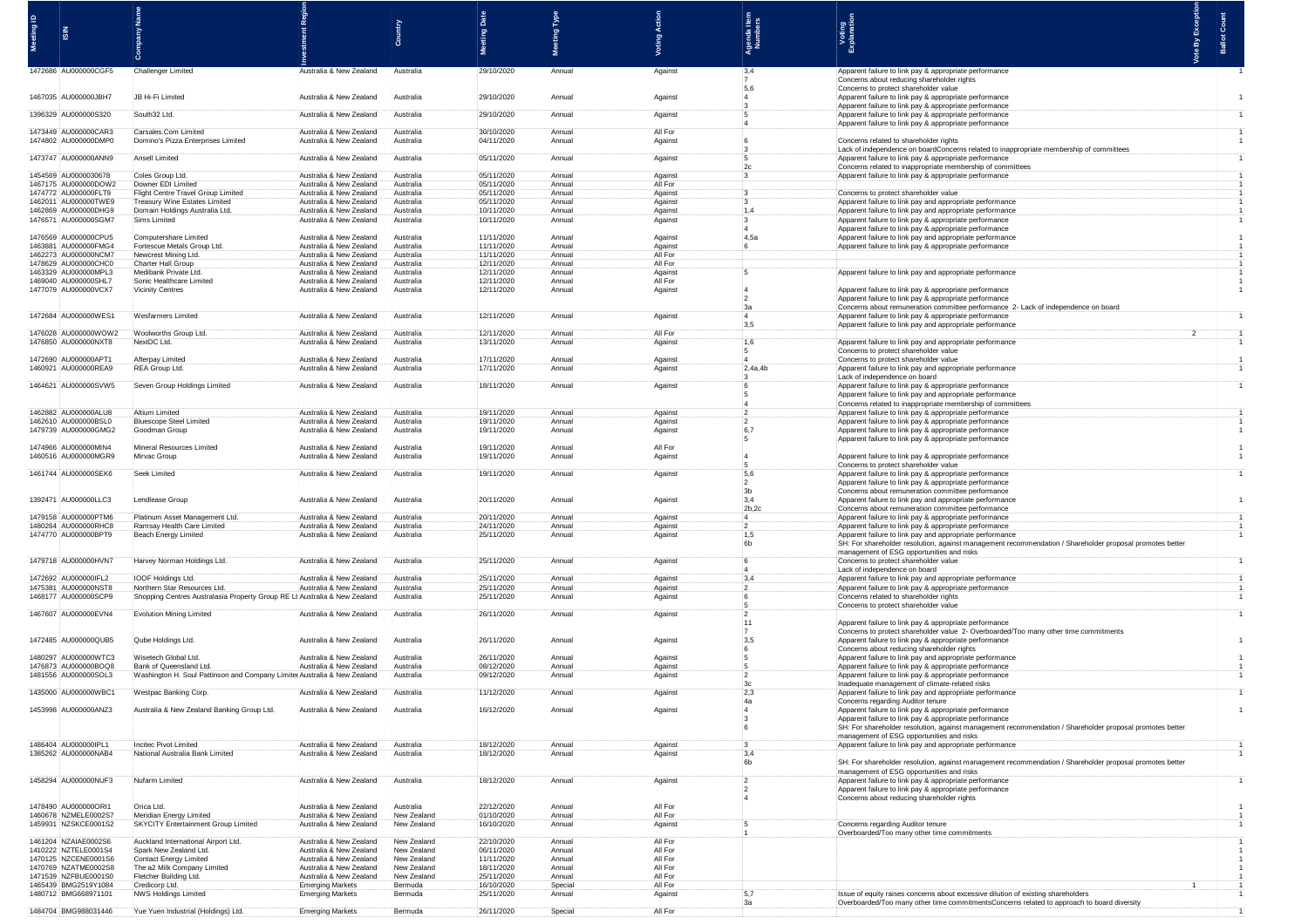|                                              |                                                                            |                                                    |                            | Date                     | <b>Pe</b>         |                    |                         |                                                                                                                                                                      | <b>be By Except</b> |                    |
|----------------------------------------------|----------------------------------------------------------------------------|----------------------------------------------------|----------------------------|--------------------------|-------------------|--------------------|-------------------------|----------------------------------------------------------------------------------------------------------------------------------------------------------------------|---------------------|--------------------|
|                                              |                                                                            |                                                    |                            | ஜ                        | Meeting           |                    | <b>Index</b><br>Numbers | Voting<br>xplanatio                                                                                                                                                  |                     | <b>Ballot Cour</b> |
|                                              |                                                                            |                                                    |                            |                          |                   |                    |                         |                                                                                                                                                                      |                     |                    |
| 1472686 AU000000CGF5                         | Challenger Limited                                                         | Australia & New Zealand                            | Australia                  | 29/10/2020               | Annual            | Against            | 3,4                     | Apparent failure to link pay & appropriate performance                                                                                                               |                     |                    |
|                                              |                                                                            |                                                    |                            |                          |                   |                    | $-7$                    | Concerns about reducing shareholder rights                                                                                                                           |                     |                    |
| 1467035 AU000000JBH7                         | :JB Hi-Fi Limited                                                          | Australia & New Zealand                            | Australia                  | 29/10/2020               | Annual            | Against            | 5,6<br>$\cdot$ 4        | Concerns to protect shareholder value<br>Apparent failure to link pay & appropriate performance                                                                      |                     |                    |
| 1396329 AU000000S320                         | South32 Ltd.                                                               | Australia & New Zealand                            | Australia                  | 29/10/2020               | Annual            | Against            | :3                      | Apparent failure to link pay & appropriate performance<br>Apparent failure to link pay & appropriate performance                                                     |                     |                    |
|                                              |                                                                            |                                                    |                            |                          |                   |                    |                         | Apparent failure to link pay & appropriate performance                                                                                                               |                     |                    |
| 1473449 AU000000CAR3<br>1474802 AU000000DMP0 | Carsales.Com Limited<br>Domino's Pizza Enterprises Limited                 | Australia & New Zealand<br>Australia & New Zealand | Australia<br>Australia     | 30/10/2020<br>04/11/2020 | Annual<br>Annual  | All For<br>Against |                         | Concerns related to shareholder rights                                                                                                                               |                     |                    |
|                                              |                                                                            |                                                    |                            |                          |                   |                    |                         | Lack of independence on boardConcerns related to inappropriate membership of committee                                                                               |                     |                    |
| 1473747 AU000000ANN9                         | Ansell Limited                                                             | Australia & New Zealand                            | Australia                  | 05/11/2020               | Annual            | Against            |                         | Apparent failure to link pay & appropriate performance<br>Concerns related to inappropriate membership of comm                                                       |                     |                    |
| 1454569 AU0000030678<br>1467175 AU000000DOW2 | Coles Group Ltd.<br>Downer FDI Limited                                     | Australia & New Zealand<br>Australia & New Zealand | Australia<br>Australia     | 05/11/2020               | Annual<br>Annual  | Against<br>All For |                         | Apparent failure to link pay & appropriate perfor                                                                                                                    |                     |                    |
| 1474772 AU000000FLT9                         | Flight Centre Travel Group Limite                                          | Australia & New Zealand                            | Australia                  | 05/11/2020<br>05/11/2020 | Annual            | Against            |                         | Concerns to protect shareholder value                                                                                                                                |                     |                    |
| 1462011 AU000000TWE9<br>1462869 AU000000DHG9 | Treasury Wine Estates Limited<br>:Domain Holdings Australia Ltd.           | Australia & New Zealand<br>Australia & New Zealand | Australia<br>Australia     | 05/11/2020<br>10/11/2020 | Annual<br>Annual  | Against<br>Against | :1,4                    | Apparent failure to link pay and appropriate performar<br>Apparent failure to link pay and appropriate performance                                                   |                     |                    |
| 1476571 AU000000SGM7                         | Sims Limited                                                               | Australia & New Zealand                            | Australia                  | 10/11/2020               | Annual            | Against            |                         | Apparent failure to link pay & appropriate performance                                                                                                               |                     |                    |
| 1476569 AU000000CPU5                         | Computershare Limited                                                      | Australia & New Zealand                            | Australia                  | 11/11/2020               | Annual            | Against            | 4,5a                    | Apparent failure to link pay & appropriate performance<br>Apparent failure to link pay and appropriate performance                                                   |                     |                    |
| 1463881 AU000000FMG4<br>1462273 AU000000NCM7 | Fortescue Metals Group Ltd.<br>Newcrest Mining Ltd.                        | Australia & New Zealand<br>Australia & New Zealand | Australia<br>Australia     | 11/11/2020<br>11/11/2020 | Annual<br>Annual  | Against<br>All For |                         | Apparent failure to link pay & appropriate performan                                                                                                                 |                     |                    |
| 1478629 AU000000CHC0                         | Charter Hall Group                                                         | Australia & New Zealand                            | Australia                  | 12/11/2020               | Annual            | All For            |                         |                                                                                                                                                                      |                     |                    |
| 1463329 AU000000MPL3<br>1469040 AU000000SHL7 | Medibank Private Ltd.<br>Sonic Healthcare Limited                          | Australia & New Zealand<br>Australia & New Zealand | Australia<br>Australia     | 12/11/2020<br>12/11/2020 | Annual<br>Annual  | Against<br>All For |                         | Apparent failure to link pay and appropriate performanc                                                                                                              |                     |                    |
| 1477079 AU000000VCX7                         | Vicinity Centres                                                           | Australia & New Zealand                            | Australia                  | 12/11/2020               | Annual            | Against            |                         | Apparent failure to link pay & appropriate performance                                                                                                               |                     |                    |
|                                              |                                                                            |                                                    |                            |                          |                   |                    | 3a                      | Apparent failure to link pay & appropriate performance<br>Concerns about remuneration committee performance 2- Lack of independence on board                         |                     |                    |
| 1472684 AU000000WES1                         | Wesfarmers Limited                                                         | Australia & New Zealand                            | Australia                  | 12/11/2020               | Annual            | Against            |                         | Apparent failure to link pay & appropriate performance                                                                                                               |                     |                    |
| 1476028 AU000000WOW2                         | Woolworths Group Ltd.                                                      | Australia & New Zealand                            | Australia                  | 12/11/2020               | Annual            | All For            | 3,5                     | Apparent failure to link pay and appropriate performance                                                                                                             |                     |                    |
| 1476850 AU000000NXT8                         | NextDC Ltd.                                                                | Australia & New Zealand                            | Australia                  | 13/11/2020               | Annual            | Against            | -5                      | Apparent failure to link pay and appropriate performane<br>Concerns to protect shareholder value                                                                     |                     |                    |
| 1472690 AU000000APT1                         | :Afterpay Limited                                                          | Australia & New Zealand                            | Australia                  | 17/11/2020               | :Annual           | Against            | $\overline{4}$          | Concerns to protect shareholder value                                                                                                                                |                     |                    |
| 1460921 AU000000REA9                         | REA Group Ltd.                                                             | Australia & New Zealand                            | Australia                  | 17/11/2020               | Annual            | Against            | $-2,4a,4b$              | Apparent failure to link pay and appropriate performance<br>Lack of independence on board                                                                            |                     |                    |
| 1464621 AU000000SVW5                         | Seven Group Holdings Limited                                               | Australia & New Zealand                            | Australia                  | 18/11/2020               | Annual            | Against            |                         | Apparent failure to link pay & appropriate performance                                                                                                               |                     |                    |
|                                              |                                                                            |                                                    |                            |                          |                   |                    |                         | Apparent failure to link pay and appropriate performance<br>Concerns related to inappropriate membership of commit                                                   |                     |                    |
| 1462882 AU000000ALU8<br>1462610 AU000000BSL0 | Altium Limited<br>Bluescope Steel Limite                                   | Australia & New Zealand<br>Australia & New Zealand | Australia<br>Australia     | 19/11/2020<br>19/11/2020 | Annual<br>Annual  | Against<br>Against | $\mathbf{12}$           | Apparent failure to link pay & appropriate performance<br>Apparent failure to link pay & appropriate performance                                                     |                     |                    |
| 1479739 AU000000GMG2                         | Goodman Group                                                              | Australia & New Zealand                            | Australia                  | 19/11/2020               | Annual            | Against            | 6,7                     | Apparent failure to link pay & appropriate performance                                                                                                               |                     |                    |
| 1474966 AU000000MIN4                         | Mineral Resources Limited                                                  | Australia & New Zealand                            | Australia                  | 19/11/2020               | Annual            | All For            | -5                      | Apparent failure to link pay & appropriate performanc                                                                                                                |                     |                    |
| 1460516 AU000000MGR9                         | Mirvac Group                                                               | Australia & New Zealand                            | Australia                  | 19/11/2020               | Annual            | Against            |                         | Apparent failure to link pay & appropriate performance                                                                                                               |                     |                    |
| 1461744 AU000000SEK6                         | Seek Limited                                                               | Australia & New Zealand                            | Australia                  | 19/11/2020               | Annual            | Against            | $-5,6$                  | Concerns to protect shareholder value<br>Apparent failure to link pay & appropriate performance                                                                      |                     |                    |
|                                              |                                                                            |                                                    |                            |                          |                   |                    | $\mathbf{2}$<br>:3b     | Apparent failure to link pay & appropriate performance<br>Concerns about remuneration committee performance                                                          |                     |                    |
| 1392471 AU000000LLC3                         | Lendlease Group                                                            | Australia & New Zealand                            | Australia                  | 20/11/2020               | Annual            | Against            | 3,4                     | Apparent failure to link pay and appropriate performance                                                                                                             |                     |                    |
| 1479158 AU000000PTM6                         | Platinum Asset Management Ltd.                                             | Australia & New Zealand                            | Australia                  | 20/11/2020               | Annual            | Against            | 2b,2c                   | :Concerns about remuneration committee performance<br>Apparent failure to link pay & appropriate performance                                                         |                     |                    |
| 1480264 AU000000RHC8                         | Ramsay Health Care Limited                                                 | Australia & New Zealand                            | Australia                  | 24/11/2020               | Annual            | Against            | $\overline{2}$          | Apparent failure to link pay & appropriate performance                                                                                                               |                     |                    |
| 1474770 AU000000BPT9                         | Beach Energy Limited                                                       | Australia & New Zealand                            | Australia                  | 25/11/2020               | Annual            | Against            | 1,5<br>:6b              | Apparent failure to link pay and appropriate performance<br>SH: For shareholder resolution, against management recommendation / Shareholder proposal promotes better |                     |                    |
| 1479718 AU000000HVN7                         | Harvey Norman Holdings Ltd.                                                | Australia & New Zealand                            | Australia                  | 25/11/2020               | Annual            | Against            |                         | management of ESG opportunities and risks<br>Concerns to protect shareholder value                                                                                   |                     |                    |
|                                              |                                                                            |                                                    |                            |                          |                   |                    |                         | Lack of independence on board                                                                                                                                        |                     |                    |
| 1472692 AU000000IFL2<br>1475381 AU000000NST8 | IOOF Holdings Ltd.<br>Northern Star Resources Ltd.                         | Australia & New Zealand<br>Australia & New Zealand | Australia<br>Australia     | 25/11/2020<br>25/11/2020 | Annual<br>Annual  | Against<br>Against | 3,4<br>$\cdot$          | Apparent failure to link pay and appropriate performance<br>Apparent failure to link pay & appropriate performance                                                   |                     |                    |
| 1468177 AU000000SCP9                         | Shopping Centres Australasia Property Group RE Lt: Australia & New Zealand |                                                    | Australia                  | 25/11/2020               | Annual            | Against            | -6                      | Concerns related to shareholder rights                                                                                                                               |                     |                    |
| 1467607 AU000000EVN4                         | Evolution Mining Limited                                                   | Australia & New Zealand                            | Australia                  | 26/11/2020               | Annual            | Against            |                         | Concerns to protect shareholder value                                                                                                                                |                     |                    |
|                                              |                                                                            |                                                    |                            |                          |                   |                    | :11                     | Apparent failure to link pay & appropriate performance<br>Concerns to protect shareholder value 2- Overboarded/Too many other time commitments                       |                     |                    |
| 1472485 AU000000QUB5                         | Qube Holdings Ltd.                                                         | Australia & New Zealand                            | Australia                  | 26/11/2020               | Annual            | Against            | 13,5                    | Apparent failure to link pay & appropriate performance                                                                                                               |                     |                    |
| 1480297 AU000000WTC3                         | Wisetech Global Ltd.                                                       | Australia & New Zealand                            | Australia                  | 26/11/2020               | Annual            | Against            | 6                       | Concerns about reducing shareholder rights<br>Apparent failure to link pay and appropriate performance                                                               |                     |                    |
| 1476873 AU000000BOQ8                         | Bank of Queensland Ltd.                                                    | Australia & New Zealand                            | Australia                  | 08/12/2020               | Annual            | Against            |                         | Apparent failure to link pay & appropriate performance                                                                                                               |                     |                    |
| 1481556 AU000000SOL3                         | Washington H. Soul Pattinson and Company Limite Australia & New Zealand    |                                                    | Australia                  | 09/12/2020               | Annual            | Against            | 3c                      | Apparent failure to link pay & appropriate performance<br>Inadequate management of climate-related risks                                                             |                     |                    |
| 1435000 AU000000WBC1                         | Westpac Banking Corp.                                                      | Australia & New Zealand                            | Australia                  | 11/12/2020               | Annual            | Against            | 2.3                     | Apparent failure to link pay and appropriate performance<br>Concerns regarding Auditor tenure                                                                        |                     |                    |
| 1453998 AU000000ANZ3                         | Australia & New Zealand Banking Group Ltd.                                 | Australia & New Zealand                            | Australia                  | 16/12/2020               | Annual            | Against            |                         | Apparent failure to link pay & appropriate performance                                                                                                               |                     |                    |
|                                              |                                                                            |                                                    |                            |                          |                   |                    |                         | Apparent failure to link pay & appropriate performance<br>SH: For shareholder resolution, against management recommendation / Shareholder proposal promotes better   |                     |                    |
|                                              |                                                                            |                                                    |                            |                          |                   |                    |                         | management of ESG opportunities and risks                                                                                                                            |                     |                    |
| 1486404 AU000000IPL1<br>1385262 AU000000NAB4 | Incitec Pivot Limited<br>National Australia Bank Limited                   | Australia & New Zealand<br>Australia & New Zealand | Australia<br>Australia     | 18/12/2020<br>18/12/2020 | Annual<br>Annual  | Against<br>Against | 3,4                     | Apparent failure to link pay and appropriate performance                                                                                                             |                     |                    |
|                                              |                                                                            |                                                    |                            |                          |                   |                    | 6b                      | SH: For shareholder resolution, against management recommendation /<br>management of ESG opportunities and risks                                                     |                     |                    |
| 1458294 AU000000NUF3                         | Nufarm Limited                                                             | Australia & New Zealand                            | Australia                  | 18/12/2020               | Annual            | Against            |                         | Apparent failure to link pay & appropriate performance                                                                                                               |                     |                    |
|                                              |                                                                            |                                                    |                            |                          |                   |                    |                         | Apparent failure to link pay & appropriate performance<br>Concerns about reducing shareholder rights                                                                 |                     |                    |
| 1478490 AU000000ORI1                         | Orica Ltd.                                                                 | Australia & New Zealand                            | Australia                  | 22/12/2020               | Annual            | All For            |                         |                                                                                                                                                                      |                     |                    |
| 1460678 NZMELE0002S7<br>1459931 NZSKCE0001S2 | Meridian Energy Limited<br>SKYCITY Entertainment Group Limited             | Australia & New Zealand<br>Australia & New Zealand | New Zealand<br>New Zealand | 01/10/2020<br>16/10/2020 | Annual<br>Annual  | All For<br>Against |                         | Concerns regarding Auditor tenure                                                                                                                                    |                     |                    |
|                                              | Auckland International Airport Ltd.                                        | Australia & New Zealand                            | New Zealand                | 22/10/2020               | Annual            | All For            |                         | Overboarded/Too many other time commitmen                                                                                                                            |                     |                    |
| 1461204 NZAIAE0002S6<br>1410222 NZTELE0001S4 | Spark New Zealand Ltd.                                                     | Australia & New Zealand                            | New Zealand                | 06/11/2020               | Annual            | All For            |                         |                                                                                                                                                                      |                     |                    |
| 1470125 NZCENE0001S6<br>1470769 NZATME0002S8 | Contact Energy Limited<br>The a2 Milk Company Limited                      | Australia & New Zealand<br>Australia & New Zealand | New Zealand<br>New Zealand | 11/11/2020<br>18/11/2020 | Annual<br>Annual  | All For<br>All For |                         |                                                                                                                                                                      |                     |                    |
| 1471539 NZFBUE0001S0                         | Fletcher Building Ltd.                                                     | Australia & New Zealand                            | New Zealand                | 25/11/2020               | Annual            | All For            |                         |                                                                                                                                                                      |                     |                    |
| 1465439 BMG2519Y1084<br>1480712 BMG668971101 | Credicorp Ltd.<br><b>NWS Holdings Limited</b>                              | <b>Emerging Markets</b><br><b>Emerging Markets</b> | Bermuda<br>Bermuda         | 16/10/2020<br>25/11/2020 | Special<br>Annual | All For<br>Against |                         | Issue of equity raises concerns about excessive dilution of existing shareholder                                                                                     |                     |                    |
| 1484704 BMG988031446                         | Yue Yuen Industrial (Holdings) Ltd.                                        | <b>Emerging Markets</b>                            | Bermuda                    | 26/11/2020               | Special           | All For            | -32                     | Overboarded/Too many other time commitmentsConcerns related to approach to board divers                                                                              |                     |                    |
|                                              |                                                                            |                                                    |                            |                          |                   |                    |                         |                                                                                                                                                                      |                     |                    |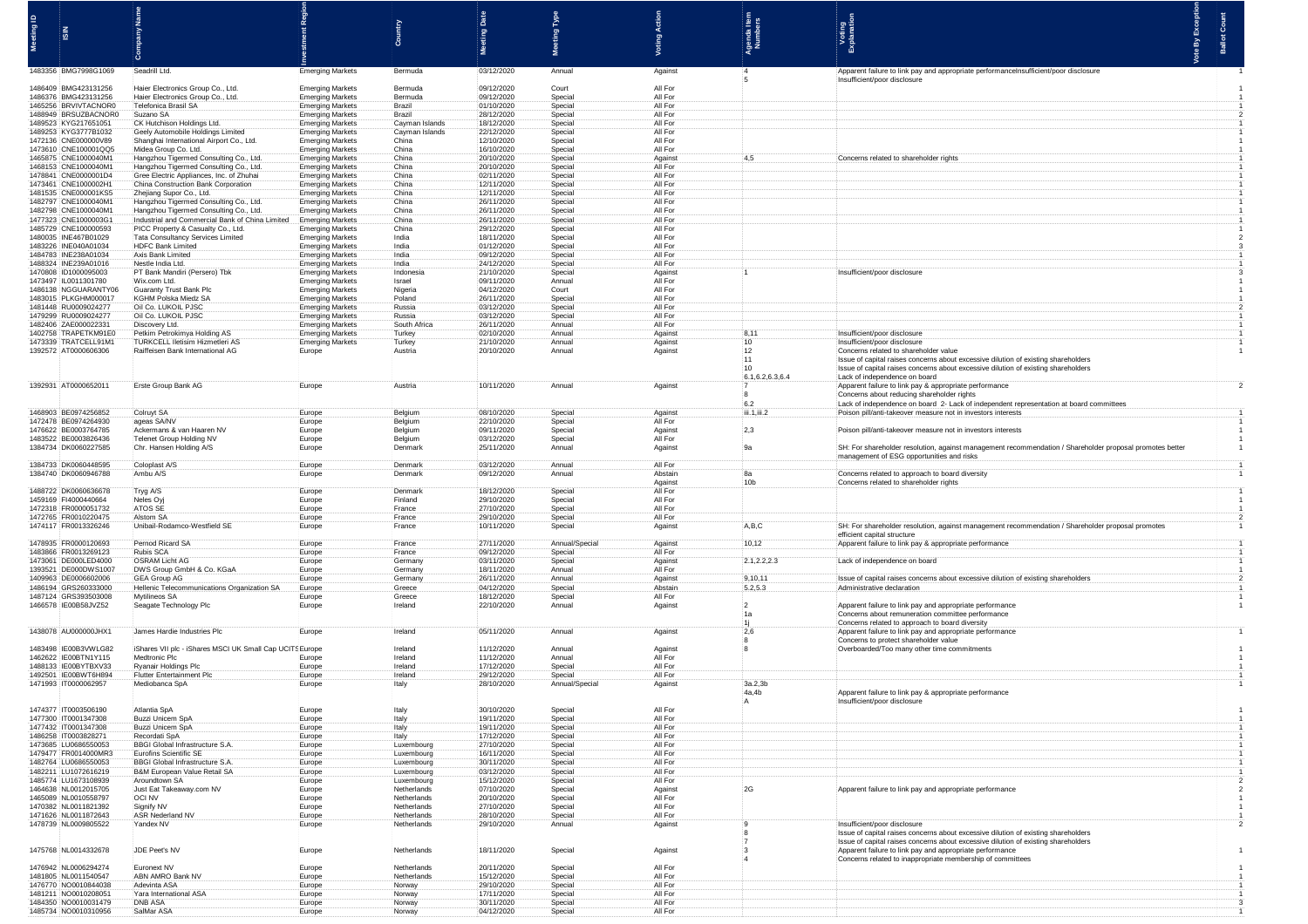| 1483356 BMG7998G1069                         | Seadrill Ltd.                                                                    | <b>Emerging Markets</b>                            | Bermuda                    | 03/12/2020               | Annual                    | Against                   |    |                  | Apparent failure to link pay and appropriate performanceInsufficient/poor disclosure                                                                  |
|----------------------------------------------|----------------------------------------------------------------------------------|----------------------------------------------------|----------------------------|--------------------------|---------------------------|---------------------------|----|------------------|-------------------------------------------------------------------------------------------------------------------------------------------------------|
|                                              |                                                                                  |                                                    |                            |                          |                           |                           |    |                  | Insufficient/poor disclosure                                                                                                                          |
| 1486409 BMG423131256<br>1486376 BMG423131256 | Haier Electronics Group Co., Ltd.<br>Haier Electronics Group Co., Ltd.           | <b>Emerging Markets</b><br><b>Emerging Markets</b> | Bermuda<br>Bermuda         | 09/12/2020<br>09/12/2020 | Court<br>Special          | All For<br>All For        |    |                  |                                                                                                                                                       |
| 1465256 BRVIVTACNOR0<br>1488949 BRSUZBACNOR0 | <b>Telefonica Brasil SA</b><br>Suzano SA                                         | <b>Emerging Markets</b><br><b>Emerging Markets</b> | Brazil<br>Brazil           | 01/10/2020<br>28/12/2020 | Special<br>Special        | All For<br>All For        |    |                  |                                                                                                                                                       |
| 1489523 KYG217651051                         | CK Hutchison Holdings Ltd                                                        | <b>Emerging Markets</b>                            | Cayman Islands             | 18/12/2020               | Special                   | All For                   |    |                  |                                                                                                                                                       |
| 1489253 KYG3777B1032<br>1472136 CNE000000V89 | Geely Automobile Holdings Limited<br>Shanghai International Airport Co., Ltd.    | <b>Emerging Markets</b><br><b>Emerging Markets</b> | Cayman Islands<br>China    | 22/12/2020<br>12/10/2020 | Special<br>Special        | All For<br>All For        |    |                  |                                                                                                                                                       |
| 1473610 CNE100001QQ5                         | Midea Group Co. Ltd.                                                             | <b>Emerging Markets</b>                            | China                      | 16/10/2020               | Special                   | All For                   |    |                  |                                                                                                                                                       |
| 1465875 CNE1000040M1<br>1468153 CNE1000040M1 | Hangzhou Tigermed Consulting Co., Ltd.<br>Hangzhou Tigermed Consulting Co., Ltd. | <b>Emerging Markets</b><br><b>Emerging Markets</b> | China<br>China             | 20/10/2020<br>20/10/2020 | Special<br><b>Special</b> | Aqainst<br>All For        |    |                  | Concerns related to shareholde                                                                                                                        |
| 1478841 CNE0000001D4                         | Gree Electric Appliances, Inc. of Zhuhai                                         | <b>Emerging Markets</b>                            | China                      | 02/11/2020               | Special                   | All For                   |    |                  |                                                                                                                                                       |
| 1473461 CNE1000002H1<br>1481535 CNE000001KS5 | China Construction Bank Corporation<br>Zhejiang Supor Co., Ltd.                  | <b>Emerging Markets</b><br><b>Emerging Markets</b> | China<br>China             | 12/11/2020<br>12/11/2020 | Special<br>Special        | All For<br>All For        |    |                  |                                                                                                                                                       |
| 1482797 CNE1000040M1<br>1482798 CNE1000040M1 | Hangzhou Tigermed Consulting Co., Ltd.<br>Hangzhou Tigermed Consulting Co., Ltd. | <b>Emerging Markets</b><br><b>Emerging Markets</b> | China<br>China             | 26/11/2020<br>26/11/2020 | Special<br>Special        | All For<br>All For        |    |                  |                                                                                                                                                       |
| 1477323 CNE1000003G                          | Industrial and Commercial Bank of China Limited                                  | <b>Emerging Markets</b>                            | China                      | 26/11/2020               | Special                   | All For                   |    |                  |                                                                                                                                                       |
| 1485729 CNE100000593<br>1480035 INE467B01029 | PICC Property & Casualty Co., Ltd.<br>Tata Consultancy Services Limited          | <b>Emerging Markets</b><br><b>Emerging Markets</b> | China<br>India             | 29/12/2020<br>18/11/2020 | Special<br>Special        | All For<br>All For        |    |                  |                                                                                                                                                       |
| 1483226 INE040A01034                         | HDFC Bank Limited                                                                | <b>Emerging Markets</b>                            | India                      | 01/12/2020               | Special                   | All For                   |    |                  |                                                                                                                                                       |
| 1484783 INE238A01034<br>1488324 INE239A01016 | Axis Bank Limited<br>Nestle India Ltd.                                           | <b>Emerging Markets</b><br><b>Emerging Markets</b> | India<br>India             | 09/12/2020<br>24/12/2020 | Special<br>Special        | All For<br>All For        |    |                  |                                                                                                                                                       |
| 1470808 ID1000095003                         | :PT Bank Mandiri (Persero) Tbl                                                   | <b>Emerging Markets</b>                            | Indonesia                  | 21/10/2020               | Special                   | Against                   |    |                  | Insufficient/poor disclosur                                                                                                                           |
| 1473497 IL0011301780<br>1486138 NGGUARANTY06 | Wix.com Ltd.<br>Guaranty Trust Bank Plc                                          | <b>Emerging Markets</b><br><b>Emerging Markets</b> | Israel<br>Nigeria          | 09/11/2020<br>04/12/2020 | Annual<br>Court           | All For<br>All For        |    |                  |                                                                                                                                                       |
| 1483015 PLKGHM000017<br>1481448 RU0009024277 | <b>KGHM Polska Miedz SA</b><br>Oil Co. LUKOIL PJSC                               | <b>Emerging Markets</b><br><b>Emerging Markets</b> | Poland<br>Russia           | 26/11/2020<br>03/12/2020 | Special<br>Special        | All For<br>All For        |    |                  |                                                                                                                                                       |
| 1479299 RU0009024277                         | Oil Co. LUKOIL PJSC                                                              | <b>Emerging Markets</b>                            | Russia                     | 03/12/2020               | Special                   | All For                   |    |                  |                                                                                                                                                       |
| 1482406 ZAE000022331<br>1402758 TRAPETKM91E0 | Discovery Ltd.<br>Petkim Petrokimva Holding AS                                   | <b>Emerging Markets</b><br><b>Emerging Markets</b> | South Africa<br>Turkey     | 26/11/2020<br>02/10/2020 | Annual<br>Annual          | All For<br>Against        |    |                  | Insufficient/poor disclosur                                                                                                                           |
| 1473339 TRATCELL91M1                         | TURKCELL Iletisim Hizmetleri AS                                                  | <b>Emerging Markets</b>                            | Turkey                     | 21/10/2020               | Annual                    | Against                   |    | 10               | Insufficient/poor disclosure                                                                                                                          |
| 1392572 AT0000606306                         | Raiffeisen Bank International AG                                                 | Europe                                             | Austria                    | 20/10/2020               | Annual                    | Against                   |    | 12<br>111        | Concerns related to shareholder valu<br>Issue of capital raises concerns about excessive dilution of existing shareholders                            |
|                                              |                                                                                  |                                                    |                            |                          |                           |                           |    | $-10$            | Issue of capital raises concerns about excessive dilution of existing shareholders                                                                    |
| 1392931 AT0000652011                         | Erste Group Bank AG                                                              | Europe                                             | Austria                    | 10/11/2020               | Annual                    | Against                   |    | 6.1,6.2,6.3,6.4  | Lack of independence on board<br>Apparent failure to link pay & appropriate performance                                                               |
|                                              |                                                                                  |                                                    |                            |                          |                           |                           |    | -8<br>6.2        | Concerns about reducing shareholder rights<br>Lack of independence on board 2- Lack of independent representation at board com                        |
| 1468903 BE0974256852                         | Colruyt SA                                                                       | Europe                                             | Belgium                    | 08/10/2020               | Special                   | Against                   |    | iii.1,iii.2      | Poison pill/anti-takeover measure not in investors interests                                                                                          |
| 1472478 BE0974264930<br>1476622 BE0003764785 | ageas SA/NV<br>Ackermans & van Haaren N                                          | Europe<br>Europe                                   | Belgium<br>Belgium         | 22/10/2020<br>09/11/2020 | Special<br>Special        | All For<br>Against        |    | 2,3              | Poison pill/anti-takeover measure not in investors interes                                                                                            |
| 1483522 BE0003826436                         | Telenet Group Holding NV                                                         | Europe                                             | Belgium                    | 03/12/2020               | Special                   | All For                   |    |                  |                                                                                                                                                       |
| 1384734 DK0060227585                         | :Chr. Hansen Holding A/S                                                         | Europe                                             | Denmark                    | :25/11/2020              | Annual                    | Aqainst                   |    |                  | SH: For shareholder resolution, against management recommendation / Shareholder proposal promotes better<br>management of ESG opportunities and risks |
| 1384733 DK0060448595<br>1384740 DK0060946788 | Coloplast A/S<br>Ambu A/S                                                        | <b>Contractor</b> contra<br>Europe                 | Denmark<br>Denmark         | 03/12/2020<br>09/12/2020 | Annual<br>Annual          | <b>All For</b><br>Abstain |    |                  |                                                                                                                                                       |
|                                              |                                                                                  | Europe                                             |                            |                          |                           | Against                   |    |                  | Concerns related to approach to board diver<br>Concerns related to shareholder rights                                                                 |
| 1488722 DK0060636678<br>1459169 FI4000440664 | Tryg A/S<br>Neles Oyj                                                            | Europe<br>Europe                                   | Denmark<br>Finland         | 18/12/2020<br>29/10/2020 | Special<br>Special        | All For<br>All For        |    |                  |                                                                                                                                                       |
| 1472318 FR0000051732                         | ATOS SE                                                                          | Europe                                             | France                     | 27/10/2020               | Special                   | All For                   |    |                  |                                                                                                                                                       |
| 1472765 FR0010220475<br>1474117 FR0013326246 | Alstom SA<br>Unibail-Rodamco-Westfield SE                                        | Europe<br>Europe                                   | France<br>France           | 29/10/2020<br>10/11/2020 | Special<br>Special        | All For<br>Against        |    | A.B.C            | SH: For shareholder resolution, against management recommendation / Shareholder proposal promote                                                      |
|                                              | Pernod Ricard SA                                                                 |                                                    |                            |                          |                           |                           |    |                  | efficient capital structure                                                                                                                           |
| 1478935 FR0000120693<br>1483866 FR0013269123 | <b>Rubis SCA</b>                                                                 | Europe<br>Europe                                   | France<br>France           | 27/11/2020<br>09/12/2020 | Annual/Special<br>Special | Against<br>All For        |    | 10, 12           | Apparent failure to link pay & appropriate performanc                                                                                                 |
| 1473061 DE000LED4000<br>1393521 DE000DWS1007 | <b>OSRAM Licht AG</b><br>DWS Group GmbH & Co. KGaA                               | Europe<br>Europe                                   | Germany<br>Germany         | 03/11/2020<br>18/11/2020 | Special<br>Annual         | Against<br>All For        |    | 2.1, 2.2, 2.3    | Lack of independence on board                                                                                                                         |
| 1409963 DE0006602006                         | GEA Group AG                                                                     | Europe                                             | Germany                    | 26/11/2020               | Annual                    | Against                   |    | 9,10,11          | Issue of capital raises concerns about excessive dilution of existing shareholde                                                                      |
| 1486194 GRS260333000<br>1487124 GRS393503008 | Hellenic Telecommunications Organization SA<br>:Mytilineos SA                    | Europe<br>Europe                                   | Greece<br>Greece           | 04/12/2020<br>18/12/2020 | Special<br>:Special       | Abstain<br>:All For       |    | 5.2,5.3          | Administrative declaration                                                                                                                            |
| 1466578 IE00B58JVZ52                         | Seagate Technology Plc                                                           | Europe                                             | Ireland                    | 22/10/2020               | Annual                    | Against                   |    |                  | Apparent failure to link pay and appropriate performance                                                                                              |
|                                              |                                                                                  |                                                    |                            |                          |                           |                           |    | :1a<br>÷1j       | Concerns about remuneration committee performance<br>Concerns related to approach to board diversity                                                  |
| 1438078 AU000000JHX1                         | James Hardie Industries Plc                                                      | Europe                                             | Ireland                    | 05/11/2020               | Annual                    | Against                   |    | 2,6              | Apparent failure to link pay and appropriate performance<br>Concerns to protect shareholder value                                                     |
| 1483498 IE00B3VWLG82                         | iShares VII plc - iShares MSCI UK Small Cap UCITS Europe                         |                                                    | Ireland                    | 11/12/2020               | Annual                    | Against                   |    |                  | Overboarded/Too many other time commit                                                                                                                |
| 1462622 IE00BTN1Y115<br>1488133 IE00BYTBXV33 | Medtronic Plc<br>Ryanair Holdings Plc                                            | Europe<br>Europe                                   | Ireland<br>Ireland         | 11/12/2020<br>17/12/2020 | Annual<br>Special         | All For<br>All For        |    |                  |                                                                                                                                                       |
| 1492501 IE00BWT6H894                         | Flutter Entertainment Plc                                                        | Europe                                             | Ireland                    | 29/12/2020               | Special                   | All For                   |    |                  |                                                                                                                                                       |
| 1471993 IT0000062957                         | Mediobanca SpA                                                                   | Europe                                             | Italy                      | 28/10/2020               | Annual/Special            | Against                   |    | 3a.2,3b<br>4a.4h | Apparent failure to link pay & appropriate performance                                                                                                |
| 1474377 IT0003506190                         | Atlantia SpA                                                                     | Europe                                             | Italy                      | 30/10/2020               | Special                   | All For                   |    |                  | Insufficient/poor disclosure                                                                                                                          |
| 1477300 IT0001347308                         | Buzzi Unicem SpA                                                                 | Europe                                             | Italy                      | 19/11/2020               | Special                   | All For                   |    |                  |                                                                                                                                                       |
| 1477432 IT0001347308<br>1486258 IT0003828271 | Buzzi Unicem SpA<br>Recordati SpA                                                | Europe<br>Europe                                   | Italy<br>Italy             | 19/11/2020<br>17/12/2020 | Special<br>Special        | All For<br>All For        |    |                  |                                                                                                                                                       |
| 1473685 LU0686550053                         | BBGI Global Infrastructure S.A                                                   | Europe                                             | Luxembourg                 | 27/10/2020               | Special                   | All For                   |    |                  |                                                                                                                                                       |
| 1479477 FR0014000MR3<br>1482764 LU0686550053 | Eurofins Scientific SE<br>BBGI Global Infrastructure S.A                         | Europe<br>Europe                                   | Luxembourg<br>Luxembourg   | 16/11/2020<br>30/11/2020 | Special<br>Special        | All For<br>All For        |    |                  |                                                                                                                                                       |
| 1482211 LU1072616219<br>1485774 LU1673108939 | B&M European Value Retail SA<br>Aroundtown SA                                    | Europe                                             | Luxembourg<br>Luxembourg   | 03/12/2020<br>15/12/2020 | Special<br>Special        | All For<br>All For        |    |                  |                                                                                                                                                       |
| 1464638 NL0012015705                         | Just Eat Takeaway.com NV                                                         | Europe<br>Europe                                   | Netherlands                | 07/10/2020               | Special                   | Against                   |    |                  | Apparent failure to link pay and appropriate perfor                                                                                                   |
| 1465089 NL0010558797<br>1470382 NL0011821392 | OCI NV<br>Signify NV                                                             | Europe<br>Europe                                   | Netherlands<br>Netherlands | 20/10/2020<br>27/10/2020 | Special<br>Special        | All For<br>All For        |    |                  |                                                                                                                                                       |
| 1471626 NL0011872643                         | ASR Nederland NV                                                                 | Europe                                             | Netherlands                | 28/10/2020               | Special                   | All For                   |    |                  |                                                                                                                                                       |
| 1478739 NL0009805522                         | Yandex NV                                                                        | Europe                                             | Netherlands                | 29/10/2020               | Annual                    | Against                   |    |                  | Insufficient/poor disclosure<br>Issue of capital raises concerns about excessive dilution of existing shareholders                                    |
|                                              |                                                                                  |                                                    |                            |                          |                           |                           |    |                  | Issue of capital raises concerns about excessive dilution of existing shareholders                                                                    |
| 1475768 NL0014332678                         | JDE Peet's NV                                                                    | Europe                                             | Netherlands                | 18/11/2020               | Special                   | Against                   | 13 |                  | Apparent failure to link pay and appropriate performance<br>Concerns related to inappropriate mer                                                     |
| 1476942 NL0006294274<br>1481805 NL0011540547 | Euronext NV<br>ABN AMRO Bank NV                                                  | Europe<br>Europe                                   | Netherlands<br>Netherlands | 20/11/2020<br>15/12/2020 | Special<br>Special        | All For<br>All For        |    |                  |                                                                                                                                                       |
| 1476770 NO0010844038                         | Adevinta ASA                                                                     | Europe                                             | Norway                     | 29/10/2020               | Special                   | All For                   |    |                  |                                                                                                                                                       |
| 1481211 NO0010208051<br>1484350 NO0010031479 | Yara International AS<br>DNB ASA                                                 | Europe<br>Europe                                   | Norway<br>Norway           | 17/11/2020<br>30/11/2020 | Special<br>Special        | All For<br>All For        |    |                  |                                                                                                                                                       |
| 1485734 NO0010310956                         | SalMar ASA                                                                       | Europe                                             | Norway                     | 04/12/2020               | Special                   | All For                   |    |                  |                                                                                                                                                       |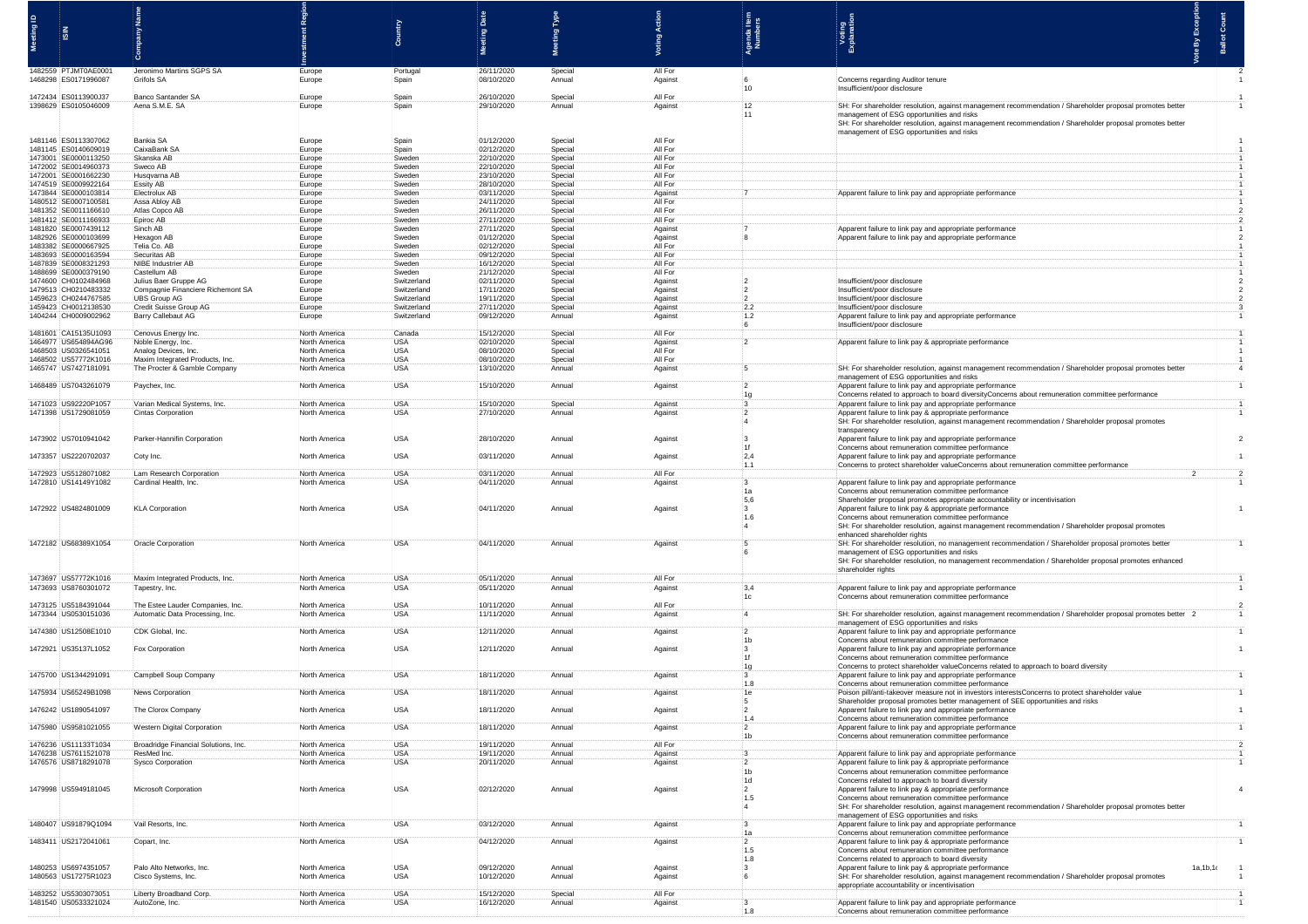|                                              |                                                         |                                |                            | 품                        | P                  |                    |                                      |                                                                                                                                                                                                                                                                                 |            |  |
|----------------------------------------------|---------------------------------------------------------|--------------------------------|----------------------------|--------------------------|--------------------|--------------------|--------------------------------------|---------------------------------------------------------------------------------------------------------------------------------------------------------------------------------------------------------------------------------------------------------------------------------|------------|--|
|                                              |                                                         |                                |                            | leg                      | leg                |                    | genda<br>Numb                        | Voting<br>Explanatio                                                                                                                                                                                                                                                            |            |  |
| 1482559 PTJMT0AE000<br>1468298 ES0171996087  | Jeronimo Martins SGPS SA<br>Grifols SA                  | Europe<br>Europe               | Portuga<br>Spain           | 26/11/2020<br>08/10/2020 | Special<br>Annual  | All For<br>Against | $10 -$                               | Concerns regarding Auditor tenure<br>Insufficient/poor disclosure                                                                                                                                                                                                               |            |  |
| 1472434 ES0113900J37<br>1398629 ES0105046009 | Banco Santander SA<br>Aena S.M.E. SA                    | Europe<br>Europe               | Spain<br>Spain             | 26/10/2020<br>29/10/2020 | Special<br>Annual  | All For<br>Against | 12                                   | SH: For shareholder resolution, against management recommendation / Shareholder proposal promotes better<br>management of ESG opportunities and risks                                                                                                                           |            |  |
| 1481146 ES0113307062                         | Bankia SA                                               | Europe                         | Spain                      | 01/12/2020               | Special            | All For            |                                      | SH: For shareholder resolution, against management recommendation / Shareholder proposal promotes better<br>management of ESG opportunities and risks                                                                                                                           |            |  |
| 1481145 ES0140609019<br>1473001 SE0000113250 | CaixaBank SA<br>Skanska AB                              | Europe<br>Europe               | Spain<br>Sweden            | 02/12/2020<br>22/10/2020 | Special<br>Special | All For<br>All For |                                      |                                                                                                                                                                                                                                                                                 |            |  |
| 1472002 SE0014960373                         | Sweco AB                                                | Europe                         | Sweden                     | 22/10/2020               | Special            | All For            |                                      |                                                                                                                                                                                                                                                                                 |            |  |
| 1472001 SE0001662230<br>1474519 SE0009922164 | Husqvarna AB<br>Essity AB                               | Europe<br>Europe               | Sweden<br>Sweder           | 23/10/2020<br>28/10/2020 | Special<br>Special | All For<br>All For |                                      |                                                                                                                                                                                                                                                                                 |            |  |
| 1473844 SE0000103814<br>1480512 SE000710058  | Electrolux AB<br>Assa Abloy AB                          | Europe                         | Sweden<br>Sweden           | 03/11/2020<br>24/11/2020 | Special<br>Special | Against<br>All For |                                      | Apparent failure to link pay and appropriate performance                                                                                                                                                                                                                        |            |  |
| 1481352 SE0011166610                         | :Atlas Copco AB                                         | Europe<br>Europe               | Sweden                     | 26/11/2020               | Special            | All For            |                                      |                                                                                                                                                                                                                                                                                 |            |  |
| 1481412 SE0011166933<br>1481820 SE0007439112 | Epiroc AB<br>Sinch AB                                   | Europe<br>Europe               | Sweden<br>Sweden           | 27/11/2020<br>27/11/2020 | Special<br>Special | All For<br>Against |                                      | Apparent failure to link pay and appropriate performance                                                                                                                                                                                                                        |            |  |
| 1482926 SE000010369                          | Hexagon AB                                              | Europe                         | Sweden                     | 01/12/2020               | Special            | Against            |                                      | Apparent failure to link pay and appropriate per                                                                                                                                                                                                                                |            |  |
| 1483382 SE0000667925<br>1483693 SE0000163594 | Telia Co. AB<br>Securitas AB                            | Europe<br>Europe               | Sweden<br>Sweder           | 02/12/2020<br>09/12/2020 | Special<br>Snecia  | All For<br>All For |                                      |                                                                                                                                                                                                                                                                                 |            |  |
| 1487839 SE0008321293                         | NIBE Industrier AB                                      | Europe                         | Sweden                     | 16/12/2020               | Special            | All For            |                                      |                                                                                                                                                                                                                                                                                 |            |  |
| 1488699 SE0000379190<br>1474600 CH0102484968 | Castellum AB<br>Julius Baer Gruppe AG                   | Europe<br>Europe               | Sweden<br>Switzerland      | 21/12/2020<br>02/11/2020 | Special<br>Special | All For<br>Against |                                      | Insufficient/poor disclosur                                                                                                                                                                                                                                                     |            |  |
| 1479513 CH0210483332                         | Compagnie Financiere Richemont SA                       | Europe                         | Switzerland                | 17/11/2020               | Special            | Against            |                                      | Insufficient/poor disclosure                                                                                                                                                                                                                                                    |            |  |
| 1459623 CH0244767585<br>1459423 CH0012138530 | UBS Group AG<br>Credit Suisse Group AG                  | Europe<br>Europe               | Switzerland<br>Switzerland | 19/11/2020<br>27/11/2020 | Special<br>Special | Against<br>Against | $\overline{2}$<br>2.2                | Insufficient/poor disclosure<br>Insufficient/poor disclosure                                                                                                                                                                                                                    |            |  |
| 1404244 CH0009002962                         | Barry Callebaut AG                                      | Europe                         | Switzerland                | 09/12/2020               | Annual             | Against            | 1.2                                  | Apparent failure to link pay and appropriate performand                                                                                                                                                                                                                         |            |  |
| 1481601 CA15135U1093                         | Cenovus Energy Inc.                                     | North America                  | Canada                     | 15/12/2020               | Special            | All For            |                                      | Insufficient/poor disclosure                                                                                                                                                                                                                                                    |            |  |
| 1464977 US654894AG96                         | Noble Energy, Inc.                                      | North America                  | <b>USA</b>                 | 02/10/2020               | Special            | Against            |                                      | Apparent failure to link pay & appropriate performance                                                                                                                                                                                                                          |            |  |
| 1468503 US0326541051<br>1468502 US57772K1016 | Analog Devices, Inc.<br>Maxim Integrated Products, Inc. | North America<br>North America | <b>USA</b><br><b>USA</b>   | 08/10/2020<br>08/10/2020 | Special<br>Special | All For<br>All For |                                      |                                                                                                                                                                                                                                                                                 |            |  |
| 1465747 US7427181091                         | The Procter & Gamble Company                            | North America                  | <b>USA</b>                 | 13/10/2020               | Annual             | Against            |                                      | SH: For shareholder resolution, against management recommendation / Shareholder proposal promotes better<br>management of ESG opportunities and risks                                                                                                                           |            |  |
| 1468489 US7043261079                         | Paychex, Inc.                                           | North America                  | <b>USA</b><br><b>USA</b>   | 15/10/2020               | : Annual           | Against            |                                      | Apparent failure to link pay and appropriate performance<br>Concerns related to approach to board diversityConcerns about remuneration comm                                                                                                                                     |            |  |
| 1471023 US92220P1057<br>1471398 US1729081059 | Varian Medical Systems, Inc.<br>Cintas Corporation      | North America<br>North America | <b>USA</b>                 | 15/10/2020<br>27/10/2020 | Special<br>Annual  | Against<br>Against |                                      | Apparent failure to link pay and appropriate performance<br>Apparent failure to link pay & appropriate performance<br>SH: For shareholder resolution, against management recommendation / Shareholder proposal<br>transparency                                                  |            |  |
| 1473902 US7010941042                         | Parker-Hannifin Corporation                             | North America                  | <b>USA</b>                 | 28/10/2020               | Annual             | Against            | : 1f                                 | Apparent failure to link pay and appropriate performance<br>Concerns about remuneration committee performance                                                                                                                                                                   |            |  |
| 1473357 US2220702037<br>1472923 US5128071082 | Coty Inc.<br>Lam Research Corporation                   | North America<br>North America | USA<br><b>USA</b>          | 03/11/2020<br>03/11/2020 | Annual<br>Annual   | Against<br>All For | $-2,4$<br>1.1                        | Apparent failure to link pay and appropriate performance<br>Concerns to protect shareholder valueConcerns about remuneration committee perfor                                                                                                                                   |            |  |
| 1472810 US14149Y1082                         | Cardinal Health, Inc.                                   | North America                  | USA                        | 04/11/2020               | Annual             | Against            | 1a<br>5,6                            | Apparent failure to link pay and appropriate performance<br>Concerns about remuneration committee performance<br>Shareholder proposal promotes appropriate accountability or incentivisation                                                                                    |            |  |
| 1472922 US4824801009                         | <b>KLA Corporation</b>                                  | North America                  | <b>USA</b>                 | 04/11/2020               | Annual             | Against            | $\overline{\mathbf{3}}$<br>1.6<br>:4 | Apparent failure to link pay & appropriate performance<br>Concerns about remuneration committee performance<br>SH: For shareholder resolution, against management recommendation / Shareholder proposal promotes<br>enhanced shareholder rights                                 |            |  |
| 1472182 US68389X1054                         | Oracle Corporation                                      | North America                  | USA                        | 04/11/2020               | Annual             | Against            |                                      | SH: For shareholder resolution, no management recommendation / Shareholder proposal promotes better<br>management of ESG opportunities and risks<br>SH: For shareholder resolution, no management recommendation / Shareholder proposal promotes enhanced<br>shareholder rights |            |  |
| 1473697 US57772K1016<br>1473693 US8760301072 | Maxim Integrated Products, Inc.<br>Tapestry, Inc.       | North America<br>North America | USA<br><b>USA</b>          | 05/11/2020<br>05/11/2020 | Annual<br>Annual   | All For<br>Against | 3,4<br>:1c                           | Apparent failure to link pay and appropriate perform                                                                                                                                                                                                                            |            |  |
| 1473125 US5184391044                         | The Estee Lauder Companies, Inc.                        | North America                  | USA                        | 10/11/2020               | Annual             | All For            |                                      | Concerns about remuneration committee performance                                                                                                                                                                                                                               |            |  |
| 1473344 US0530151036                         | Automatic Data Processing, Inc.                         | North America                  | <b>USA</b>                 | 11/11/2020               | Annual             | Against            |                                      | SH: For shareholder resolution, against management recommendation / Shareholder proposal promotes better<br>management of ESG opportunities and risks                                                                                                                           |            |  |
| 1474380 US12508E1010                         | CDK Global, Inc.                                        | North America                  | <b>USA</b>                 | 12/11/2020               | Annual             | Against            | 11 <sub>b</sub>                      | Apparent failure to link pay and appropriate performance<br>Concerns about remuneration committee performance                                                                                                                                                                   |            |  |
| 1472921 US35137L1052                         | Fox Corporation                                         | North America                  | <b>USA</b>                 | 12/11/2020               | Annual             | Against            | $\ddot{\mathbf{3}}$                  | Apparent failure to link pay and appropriate performance<br>Concerns about remuneration committee performance                                                                                                                                                                   |            |  |
|                                              |                                                         |                                |                            |                          |                    |                    | 1g                                   | Concerns to protect shareholder valueConcerns related to approach to board diversity                                                                                                                                                                                            |            |  |
| 1475700 US1344291091                         | Campbell Soup Company                                   | North America                  | USA                        | 18/11/2020               | Annual             | Against            | $\ddot{3}$<br>.1.8                   | Apparent failure to link pay and appropriate performance<br>Concerns about remuneration committee performance                                                                                                                                                                   |            |  |
| 1475934 US65249B1098                         | News Corporation                                        | North America                  | <b>USA</b>                 | 18/11/2020               | Annual             | Against            | 1e                                   | Poison pill/anti-takeover measure not in investors interestsConcerns to protect shareholder value                                                                                                                                                                               |            |  |
| 1476242 US1890541097                         | The Clorox Company                                      | North America                  | <b>USA</b>                 | 18/11/2020               | Annual             | Against            |                                      | Shareholder proposal promotes better management of SEE opportunities and risks<br>Apparent failure to link pay and appropriate performance                                                                                                                                      |            |  |
| 1475980 US9581021055                         |                                                         |                                |                            |                          |                    |                    | 1.4                                  | Concerns about remuneration committee performance                                                                                                                                                                                                                               |            |  |
|                                              | Western Digital Corporation                             | North America                  | <b>USA</b>                 | 18/11/2020               | Annual             | Against            | $\cdot$<br>:1b                       | Apparent failure to link pay and appropriate performance<br>Concerns about remuneration committee performance                                                                                                                                                                   |            |  |
| 1476236 US11133T1034<br>1476238 US7611521078 | Broadridge Financial Solutions, Inc<br>ResMed Inc.      | North America<br>North America | <b>USA</b><br><b>USA</b>   | 19/11/2020<br>19/11/2020 | Annual<br>Annual   | All For<br>Against |                                      | Apparent failure to link pay and appropriate performan                                                                                                                                                                                                                          |            |  |
| 1476576 US8718291078                         | Sysco Corporation                                       | North America                  | <b>USA</b>                 | 20/11/2020               | Annual             | Against            | $\mathbf{12}$                        | Apparent failure to link pay & appropriate performance                                                                                                                                                                                                                          |            |  |
|                                              |                                                         |                                |                            |                          |                    |                    | 1 <sub>b</sub><br>1d                 | Concerns about remuneration committee performance<br>Concerns related to approach to board diversity                                                                                                                                                                            |            |  |
| 1479998 US5949181045                         | Microsoft Corporation                                   | North America                  | <b>USA</b>                 | 02/12/2020               | Annual             | Against            | $\overline{2}$<br>1.5                | Apparent failure to link pay & appropriate performance<br>Concerns about remuneration committee performance<br>SH: For shareholder resolution, against management recommendation / Shareholder proposal promotes better                                                         |            |  |
| 1480407 US91879Q1094                         | Vail Resorts, Inc.                                      | North America                  | :USA                       | 03/12/2020               | Annual             | Against            | $\overline{\mathbf{3}}$              | management of ESG opportunities and risks<br>Apparent failure to link pay and appropriate performance                                                                                                                                                                           |            |  |
| 1483411 US2172041061                         | Copart, Inc.                                            | North America                  | <b>USA</b>                 | 04/12/2020               | Annual             | Against            | .1a<br>$\overline{2}$                | Concerns about remuneration committee performance<br>Apparent failure to link pay & appropriate performance                                                                                                                                                                     |            |  |
|                                              |                                                         |                                |                            |                          |                    |                    | 1.5<br>$-1.8$                        | Concerns about remuneration committee performance<br>Concerns related to approach to board diversity                                                                                                                                                                            |            |  |
| 1480253 US6974351057<br>1480563 US17275R1023 | Palo Alto Networks, In<br>Cisco Systems, Inc.           | North America<br>North America | <b>USA</b><br><b>USA</b>   | 09/12/2020<br>10/12/2020 | Annual<br>Annual   | Against<br>Against |                                      | Apparent failure to link pay & appropriate performance<br>SH: For shareholder resolution, against management recommendation / Shareholder proposal promotes                                                                                                                     | 1a, 1b, 1c |  |
|                                              |                                                         |                                |                            |                          |                    |                    |                                      | appropriate accountability or incentivisation                                                                                                                                                                                                                                   |            |  |
| 1483252 US5303073051<br>1481540 US0533321024 | Liberty Broadband Corp.<br>AutoZone, Inc.               | North America<br>North America | <b>USA</b><br><b>USA</b>   | 15/12/2020<br>16/12/2020 | Special<br>Annual  | All For<br>Against | 1.8                                  | Apparent failure to link pay and appropriate performan<br>Concerns about remuneration committee performance                                                                                                                                                                     |            |  |
|                                              |                                                         |                                |                            |                          |                    |                    |                                      |                                                                                                                                                                                                                                                                                 |            |  |